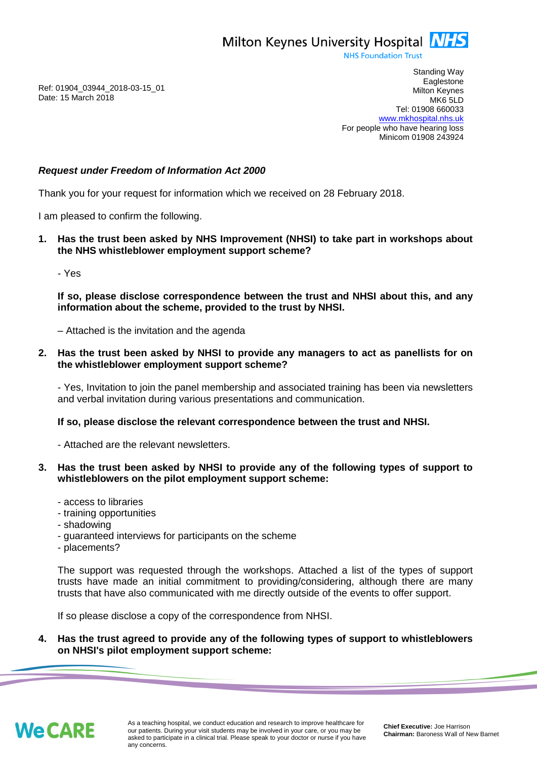Milton Keynes University Hospital **NHS** 

**NHS Foundation Trust** 

Ref: 01904\_03944\_2018-03-15\_01 Date: 15 March 2018

Standing Way **Eaglestone** Milton Keynes MK6 5LD Tel: 01908 660033 [www.mkhospital.nhs.uk](http://www.mkhospital.nhs.uk/) For people who have hearing loss Minicom 01908 243924

## *Request under Freedom of Information Act 2000*

Thank you for your request for information which we received on 28 February 2018.

I am pleased to confirm the following.

**1. Has the trust been asked by NHS Improvement (NHSI) to take part in workshops about the NHS whistleblower employment support scheme?** 

- Yes

**If so, please disclose correspondence between the trust and NHSI about this, and any information about the scheme, provided to the trust by NHSI.**

– Attached is the invitation and the agenda

**2. Has the trust been asked by NHSI to provide any managers to act as panellists for on the whistleblower employment support scheme?**

- Yes, Invitation to join the panel membership and associated training has been via newsletters and verbal invitation during various presentations and communication.

**If so, please disclose the relevant correspondence between the trust and NHSI.** 

- Attached are the relevant newsletters.

## **3. Has the trust been asked by NHSI to provide any of the following types of support to whistleblowers on the pilot employment support scheme:**

- access to libraries
- training opportunities
- shadowing
- guaranteed interviews for participants on the scheme
- placements?

The support was requested through the workshops. Attached a list of the types of support trusts have made an initial commitment to providing/considering, although there are many trusts that have also communicated with me directly outside of the events to offer support.

If so please disclose a copy of the correspondence from NHSI.

**4. Has the trust agreed to provide any of the following types of support to whistleblowers on NHSI's pilot employment support scheme:**